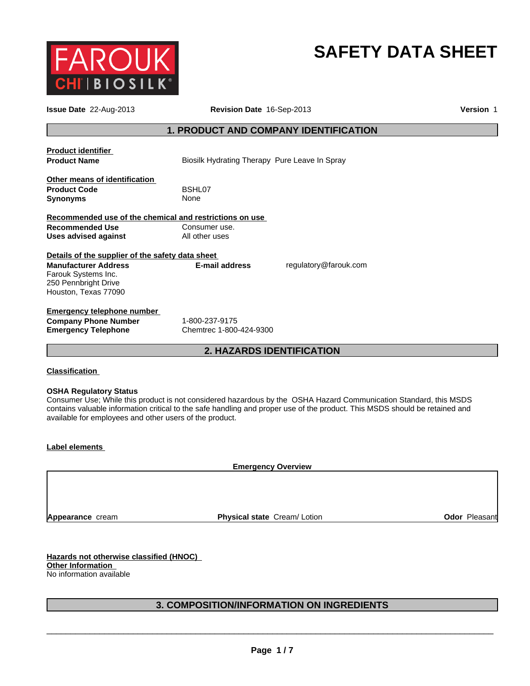

# **SAFETY DATA SHEET**

| <b>Issue Date 22-Aug-2013</b>                           | Revision Date 16-Sep-2013                     | Version 1             |  |  |
|---------------------------------------------------------|-----------------------------------------------|-----------------------|--|--|
| <b>1. PRODUCT AND COMPANY IDENTIFICATION</b>            |                                               |                       |  |  |
| <b>Product identifier</b>                               |                                               |                       |  |  |
| <b>Product Name</b>                                     | Biosilk Hydrating Therapy Pure Leave In Spray |                       |  |  |
| Other means of identification                           |                                               |                       |  |  |
| <b>Product Code</b>                                     | BSHL07                                        |                       |  |  |
| <b>Synonyms</b>                                         | None                                          |                       |  |  |
| Recommended use of the chemical and restrictions on use |                                               |                       |  |  |
| <b>Recommended Use</b>                                  | Consumer use.                                 |                       |  |  |
| <b>Uses advised against</b>                             | All other uses                                |                       |  |  |
| Details of the supplier of the safety data sheet        |                                               |                       |  |  |
| <b>Manufacturer Address</b>                             | E-mail address                                | regulatory@farouk.com |  |  |
| Farouk Systems Inc.                                     |                                               |                       |  |  |
| 250 Pennbright Drive                                    |                                               |                       |  |  |
| Houston, Texas 77090                                    |                                               |                       |  |  |
| <b>Emergency telephone number</b>                       |                                               |                       |  |  |
| <b>Company Phone Number</b>                             | 1-800-237-9175                                |                       |  |  |
| <b>Emergency Telephone</b>                              | Chemtrec 1-800-424-9300                       |                       |  |  |
|                                                         | <b>2. HAZARDS IDENTIFICATION</b>              |                       |  |  |
|                                                         |                                               |                       |  |  |

## **Classification**

## **OSHA Regulatory Status**

Consumer Use; While this product is not considered hazardous by the OSHA Hazard Communication Standard, this MSDS contains valuable information critical to the safe handling and proper use of the product. This MSDS should be retained and available for employees and other users of the product.

## **Label elements**

**Emergency Overview**

**Appearance** cream

**Physical state Cream/ Lotion <b>Calcular Cream/ Lotion Odor Pleasant** 

**Hazards not otherwise classified (HNOC) Other Information**  No information available

## **3. COMPOSITION/INFORMATION ON INGREDIENTS**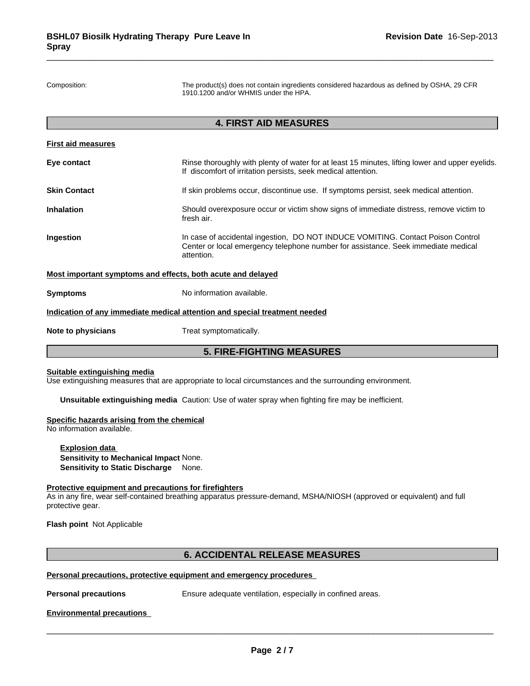Composition: The product(s) does not contain ingredients considered hazardous as defined by OSHA, 29 CFR 1910.1200 and/or WHMIS under the HPA.

## **4. FIRST AID MEASURES**

|                                                                                                                                                                                                 | <b>5. FIRE-FIGHTING MEASURES</b>                                                                                                                                 |  |  |
|-------------------------------------------------------------------------------------------------------------------------------------------------------------------------------------------------|------------------------------------------------------------------------------------------------------------------------------------------------------------------|--|--|
| Note to physicians                                                                                                                                                                              | Treat symptomatically.                                                                                                                                           |  |  |
|                                                                                                                                                                                                 | Indication of any immediate medical attention and special treatment needed                                                                                       |  |  |
| <b>Symptoms</b>                                                                                                                                                                                 | No information available.                                                                                                                                        |  |  |
|                                                                                                                                                                                                 | Most important symptoms and effects, both acute and delayed                                                                                                      |  |  |
| Ingestion<br>In case of accidental ingestion, DO NOT INDUCE VOMITING. Contact Poison Control<br>Center or local emergency telephone number for assistance. Seek immediate medical<br>attention. |                                                                                                                                                                  |  |  |
| Inhalation                                                                                                                                                                                      | Should overexposure occur or victim show signs of immediate distress, remove victim to<br>fresh air.                                                             |  |  |
| <b>Skin Contact</b>                                                                                                                                                                             | If skin problems occur, discontinue use. If symptoms persist, seek medical attention.                                                                            |  |  |
| Eye contact                                                                                                                                                                                     | Rinse thoroughly with plenty of water for at least 15 minutes, lifting lower and upper eyelids.<br>If discomfort of irritation persists, seek medical attention. |  |  |
| First aid measures                                                                                                                                                                              |                                                                                                                                                                  |  |  |

## **Suitable extinguishing media**

Use extinguishing measures that are appropriate to local circumstances and the surrounding environment.

**Unsuitable extinguishing media** Caution: Use of water spray when fighting fire may be inefficient.

#### **Specific hazards arising from the chemical**

No information available.

**Explosion data Sensitivity to Mechanical Impact** None. **Sensitivity to Static Discharge** None.

#### **Protective equipment and precautions for firefighters**

As in any fire, wear self-contained breathing apparatus pressure-demand, MSHA/NIOSH (approved or equivalent) and full protective gear.

**Flash point** Not Applicable

## **6. ACCIDENTAL RELEASE MEASURES**

## **Personal precautions, protective equipment and emergency procedures**

**Personal precautions** Ensure adequate ventilation, especially in confined areas.

\_\_\_\_\_\_\_\_\_\_\_\_\_\_\_\_\_\_\_\_\_\_\_\_\_\_\_\_\_\_\_\_\_\_\_\_\_\_\_\_\_\_\_\_\_\_\_\_\_\_\_\_\_\_\_\_\_\_\_\_\_\_\_\_\_\_\_\_\_\_\_\_\_\_\_\_\_\_\_\_\_\_\_\_\_\_\_\_\_\_\_\_\_

## **Environmental precautions**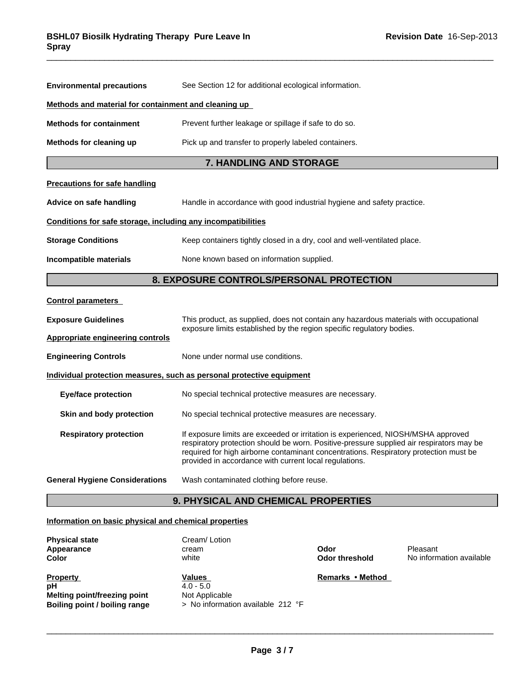| <b>Environmental precautions</b>                                                                                                                                                                                                                                                                                                                                  | See Section 12 for additional ecological information.                  |  |  |  |  |
|-------------------------------------------------------------------------------------------------------------------------------------------------------------------------------------------------------------------------------------------------------------------------------------------------------------------------------------------------------------------|------------------------------------------------------------------------|--|--|--|--|
| Methods and material for containment and cleaning up                                                                                                                                                                                                                                                                                                              |                                                                        |  |  |  |  |
| <b>Methods for containment</b>                                                                                                                                                                                                                                                                                                                                    | Prevent further leakage or spillage if safe to do so.                  |  |  |  |  |
| Methods for cleaning up                                                                                                                                                                                                                                                                                                                                           | Pick up and transfer to properly labeled containers.                   |  |  |  |  |
|                                                                                                                                                                                                                                                                                                                                                                   | 7. HANDLING AND STORAGE                                                |  |  |  |  |
| <b>Precautions for safe handling</b>                                                                                                                                                                                                                                                                                                                              |                                                                        |  |  |  |  |
| Advice on safe handling                                                                                                                                                                                                                                                                                                                                           | Handle in accordance with good industrial hygiene and safety practice. |  |  |  |  |
| Conditions for safe storage, including any incompatibilities                                                                                                                                                                                                                                                                                                      |                                                                        |  |  |  |  |
| <b>Storage Conditions</b><br>Keep containers tightly closed in a dry, cool and well-ventilated place.                                                                                                                                                                                                                                                             |                                                                        |  |  |  |  |
| Incompatible materials                                                                                                                                                                                                                                                                                                                                            | None known based on information supplied.                              |  |  |  |  |
|                                                                                                                                                                                                                                                                                                                                                                   | 8. EXPOSURE CONTROLS/PERSONAL PROTECTION                               |  |  |  |  |
| <b>Control parameters</b>                                                                                                                                                                                                                                                                                                                                         |                                                                        |  |  |  |  |
| <b>Exposure Guidelines</b><br>This product, as supplied, does not contain any hazardous materials with occupational                                                                                                                                                                                                                                               |                                                                        |  |  |  |  |
| Appropriate engineering controls                                                                                                                                                                                                                                                                                                                                  | exposure limits established by the region specific regulatory bodies.  |  |  |  |  |
| <b>Engineering Controls</b>                                                                                                                                                                                                                                                                                                                                       | None under normal use conditions.                                      |  |  |  |  |
|                                                                                                                                                                                                                                                                                                                                                                   | Individual protection measures, such as personal protective equipment  |  |  |  |  |
| <b>Eye/face protection</b><br>No special technical protective measures are necessary.                                                                                                                                                                                                                                                                             |                                                                        |  |  |  |  |
| Skin and body protection                                                                                                                                                                                                                                                                                                                                          | No special technical protective measures are necessary.                |  |  |  |  |
| <b>Respiratory protection</b><br>If exposure limits are exceeded or irritation is experienced, NIOSH/MSHA approved<br>respiratory protection should be worn. Positive-pressure supplied air respirators may be<br>required for high airborne contaminant concentrations. Respiratory protection must be<br>provided in accordance with current local regulations. |                                                                        |  |  |  |  |
| <b>General Hygiene Considerations</b>                                                                                                                                                                                                                                                                                                                             | Wash contaminated clothing before reuse.                               |  |  |  |  |
|                                                                                                                                                                                                                                                                                                                                                                   | <b>9. PHYSICAL AND CHEMICAL PROPERTIES</b>                             |  |  |  |  |

## **Information on basic physical and chemical properties**

| <b>Physical state</b><br>Appearance<br>Color                                           | Cream/Lotion<br>cream<br>white                                                        | Odor<br>Odor threshold | Pleasant<br>No information available |
|----------------------------------------------------------------------------------------|---------------------------------------------------------------------------------------|------------------------|--------------------------------------|
| <b>Property</b><br>рH<br>Melting point/freezing point<br>Boiling point / boiling range | <b>Values</b><br>$4.0 - 5.0$<br>Not Applicable<br>> No information available $212$ °F | Remarks • Method       |                                      |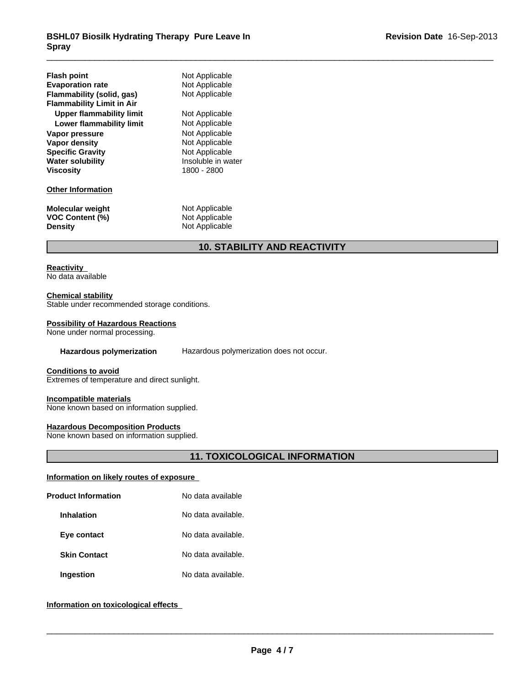| <b>Flash point</b><br><b>Evaporation rate</b><br>Flammability (solid, gas)<br><b>Flammability Limit in Air</b><br>Upper flammability limit<br>Lower flammability limit<br>Vapor pressure<br>Vapor density<br><b>Specific Gravity</b><br><b>Water solubility</b><br>Viscosity | Not Applicable<br>Not Applicable<br>Not Applicable<br>Not Applicable<br>Not Applicable<br>Not Applicable<br>Not Applicable<br>Not Applicable<br>Insoluble in water<br>1800 - 2800 |
|------------------------------------------------------------------------------------------------------------------------------------------------------------------------------------------------------------------------------------------------------------------------------|-----------------------------------------------------------------------------------------------------------------------------------------------------------------------------------|
| <b>Other Information</b>                                                                                                                                                                                                                                                     |                                                                                                                                                                                   |
| <b>Molecular weight</b><br><b>VOC Content (%)</b><br><b>Density</b>                                                                                                                                                                                                          | Not Applicable<br>Not Applicable<br>Not Applicable                                                                                                                                |

# **10. STABILITY AND REACTIVITY**

## **Reactivity**

No data available

## **Chemical stability**

Stable under recommended storage conditions.

## **Possibility of Hazardous Reactions**

None under normal processing.

**Hazardous polymerization** Hazardous polymerization does not occur.

#### **Conditions to avoid**

Extremes of temperature and direct sunlight.

#### **Incompatible materials**

None known based on information supplied.

## **Hazardous Decomposition Products**

None known based on information supplied.

## **11. TOXICOLOGICAL INFORMATION**

## **Information on likely routes of exposure**

| <b>Product Information</b> | No data available  |  |
|----------------------------|--------------------|--|
| <b>Inhalation</b>          | No data available. |  |
| Eye contact                | No data available. |  |
| <b>Skin Contact</b>        | No data available. |  |
| <b>Ingestion</b>           | No data available. |  |

## **Information on toxicological effects**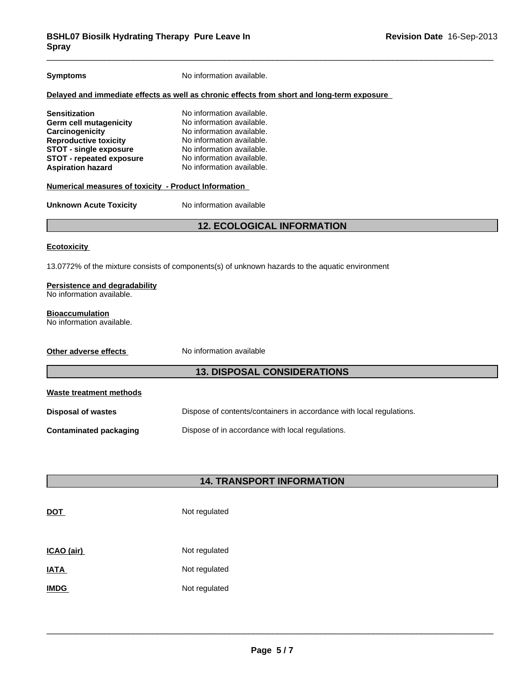| <b>Symptoms</b>                                                                                                                                                                                          | No information available.                                                                                                                                                                               |  |  |  |
|----------------------------------------------------------------------------------------------------------------------------------------------------------------------------------------------------------|---------------------------------------------------------------------------------------------------------------------------------------------------------------------------------------------------------|--|--|--|
|                                                                                                                                                                                                          | Delayed and immediate effects as well as chronic effects from short and long-term exposure                                                                                                              |  |  |  |
| <b>Sensitization</b><br><b>Germ cell mutagenicity</b><br>Carcinogenicity<br><b>Reproductive toxicity</b><br><b>STOT - single exposure</b><br><b>STOT - repeated exposure</b><br><b>Aspiration hazard</b> | No information available.<br>No information available.<br>No information available.<br>No information available.<br>No information available.<br>No information available.<br>No information available. |  |  |  |
| Numerical measures of toxicity - Product Information                                                                                                                                                     |                                                                                                                                                                                                         |  |  |  |
| <b>Unknown Acute Toxicity</b>                                                                                                                                                                            | No information available                                                                                                                                                                                |  |  |  |
|                                                                                                                                                                                                          | <b>12. ECOLOGICAL INFORMATION</b>                                                                                                                                                                       |  |  |  |
| <b>Ecotoxicity</b>                                                                                                                                                                                       |                                                                                                                                                                                                         |  |  |  |
|                                                                                                                                                                                                          | 13.0772% of the mixture consists of components(s) of unknown hazards to the aquatic environment                                                                                                         |  |  |  |
| <b>Persistence and degradability</b><br>No information available.                                                                                                                                        |                                                                                                                                                                                                         |  |  |  |
| <b>Bioaccumulation</b><br>No information available.                                                                                                                                                      |                                                                                                                                                                                                         |  |  |  |
| Other adverse effects                                                                                                                                                                                    | No information available                                                                                                                                                                                |  |  |  |
| <b>13. DISPOSAL CONSIDERATIONS</b>                                                                                                                                                                       |                                                                                                                                                                                                         |  |  |  |
| Waste treatment methods                                                                                                                                                                                  |                                                                                                                                                                                                         |  |  |  |
| <b>Disposal of wastes</b>                                                                                                                                                                                | Dispose of contents/containers in accordance with local regulations.                                                                                                                                    |  |  |  |
| <b>Contaminated packaging</b>                                                                                                                                                                            | Dispose of in accordance with local regulations.                                                                                                                                                        |  |  |  |
|                                                                                                                                                                                                          |                                                                                                                                                                                                         |  |  |  |
|                                                                                                                                                                                                          |                                                                                                                                                                                                         |  |  |  |

# **14. TRANSPORT INFORMATION**

| <b>DOT</b>  | Not regulated |
|-------------|---------------|
| ICAO (air)  | Not regulated |
| <b>IATA</b> | Not regulated |
| <b>IMDG</b> | Not regulated |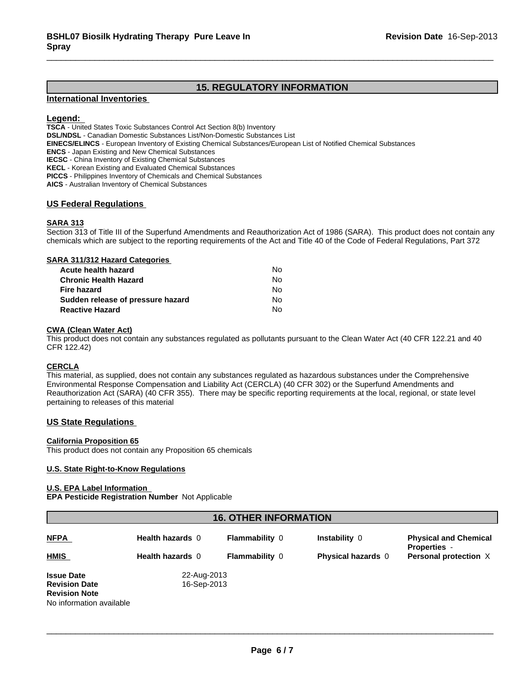## **15. REGULATORY INFORMATION**

## **International Inventories**

## **Legend:**

**TSCA** - United States Toxic Substances Control Act Section 8(b) Inventory

**DSL/NDSL** - Canadian Domestic Substances List/Non-Domestic Substances List

**EINECS/ELINCS** - European Inventory of Existing Chemical Substances/European List of Notified Chemical Substances

**ENCS** - Japan Existing and New Chemical Substances

**IECSC** - China Inventory of Existing Chemical Substances

**KECL** - Korean Existing and Evaluated Chemical Substances

**PICCS** - Philippines Inventory of Chemicals and Chemical Substances

**AICS** - Australian Inventory of Chemical Substances

## **US Federal Regulations**

## **SARA 313**

Section 313 of Title III of the Superfund Amendments and Reauthorization Act of 1986 (SARA). This product does not contain any chemicals which are subject to the reporting requirements of the Act and Title 40 of the Code of Federal Regulations, Part 372

#### **SARA 311/312 Hazard Categories**

| Acute health hazard               | No. |  |
|-----------------------------------|-----|--|
| Chronic Health Hazard             | No. |  |
| Fire hazard                       | No. |  |
| Sudden release of pressure hazard | No. |  |
| <b>Reactive Hazard</b>            | N٥  |  |

## **CWA (Clean Water Act)**

This product does not contain any substances regulated as pollutants pursuant to the Clean Water Act (40 CFR 122.21 and 40 CFR 122.42)

## **CERCLA**

This material, as supplied, does not contain any substances regulated as hazardous substances under the Comprehensive Environmental Response Compensation and Liability Act (CERCLA) (40 CFR 302) or the Superfund Amendments and Reauthorization Act (SARA) (40 CFR 355). There may be specific reporting requirements at the local, regional, or state level pertaining to releases of this material

## **US State Regulations**

#### **California Proposition 65**

This product does not contain any Proposition 65 chemicals

#### **U.S. State Right-to-Know Regulations**

#### **U.S. EPA Label Information**

**EPA Pesticide Registration Number** Not Applicable

## **16. OTHER INFORMATION**

| <b>NFPA</b>                                                                                   | Health hazards 0           | <b>Flammability 0</b> | Instability 0             | <b>Physical and Chemical</b><br><b>Properties</b> - |
|-----------------------------------------------------------------------------------------------|----------------------------|-----------------------|---------------------------|-----------------------------------------------------|
| <b>HMIS</b>                                                                                   | <b>Health hazards 0</b>    | <b>Flammability 0</b> | <b>Physical hazards</b> 0 | Personal protection X                               |
| <b>Issue Date</b><br><b>Revision Date</b><br><b>Revision Note</b><br>No information available | 22-Aug-2013<br>16-Sep-2013 |                       |                           |                                                     |